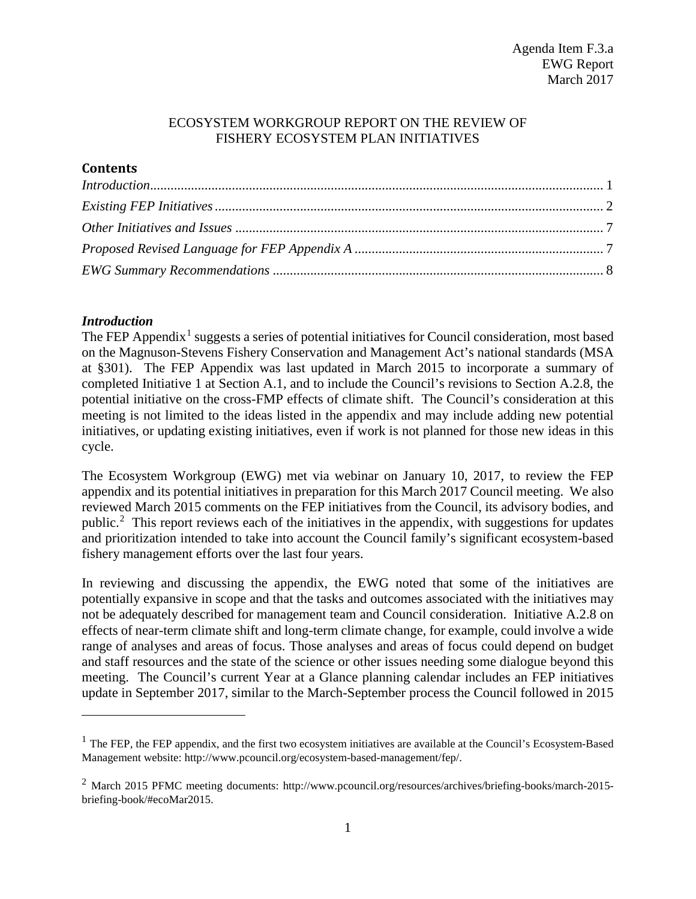#### ECOSYSTEM WORKGROUP REPORT ON THE REVIEW OF FISHERY ECOSYSTEM PLAN INITIATIVES

## **Contents**

| Introduction 1 |  |
|----------------|--|
|                |  |
|                |  |
|                |  |
|                |  |

## <span id="page-0-0"></span>*Introduction*

 $\overline{a}$ 

The FEP Appendix<sup>[1](#page-0-1)</sup> suggests a series of potential initiatives for Council consideration, most based on the Magnuson-Stevens Fishery Conservation and Management Act's national standards (MSA at §301). The FEP Appendix was last updated in March 2015 to incorporate a summary of completed Initiative 1 at Section A.1, and to include the Council's revisions to Section A.2.8, the potential initiative on the cross-FMP effects of climate shift. The Council's consideration at this meeting is not limited to the ideas listed in the appendix and may include adding new potential initiatives, or updating existing initiatives, even if work is not planned for those new ideas in this cycle.

The Ecosystem Workgroup (EWG) met via webinar on January 10, 2017, to review the FEP appendix and its potential initiatives in preparation for this March 2017 Council meeting. We also reviewed March 2015 comments on the FEP initiatives from the Council, its advisory bodies, and public.<sup>[2](#page-0-2)</sup> This report reviews each of the initiatives in the appendix, with suggestions for updates and prioritization intended to take into account the Council family's significant ecosystem-based fishery management efforts over the last four years.

In reviewing and discussing the appendix, the EWG noted that some of the initiatives are potentially expansive in scope and that the tasks and outcomes associated with the initiatives may not be adequately described for management team and Council consideration. Initiative A.2.8 on effects of near-term climate shift and long-term climate change, for example, could involve a wide range of analyses and areas of focus. Those analyses and areas of focus could depend on budget and staff resources and the state of the science or other issues needing some dialogue beyond this meeting. The Council's current Year at a Glance planning calendar includes an FEP initiatives update in September 2017, similar to the March-September process the Council followed in 2015

<span id="page-0-1"></span> $1$  The FEP, the FEP appendix, and the first two ecosystem initiatives are available at the Council's Ecosystem-Based Management website: http://www.pcouncil.org/ecosystem-based-management/fep/.

<span id="page-0-2"></span><sup>2</sup> March 2015 PFMC meeting documents: http://www.pcouncil.org/resources/archives/briefing-books/march-2015 briefing-book/#ecoMar2015.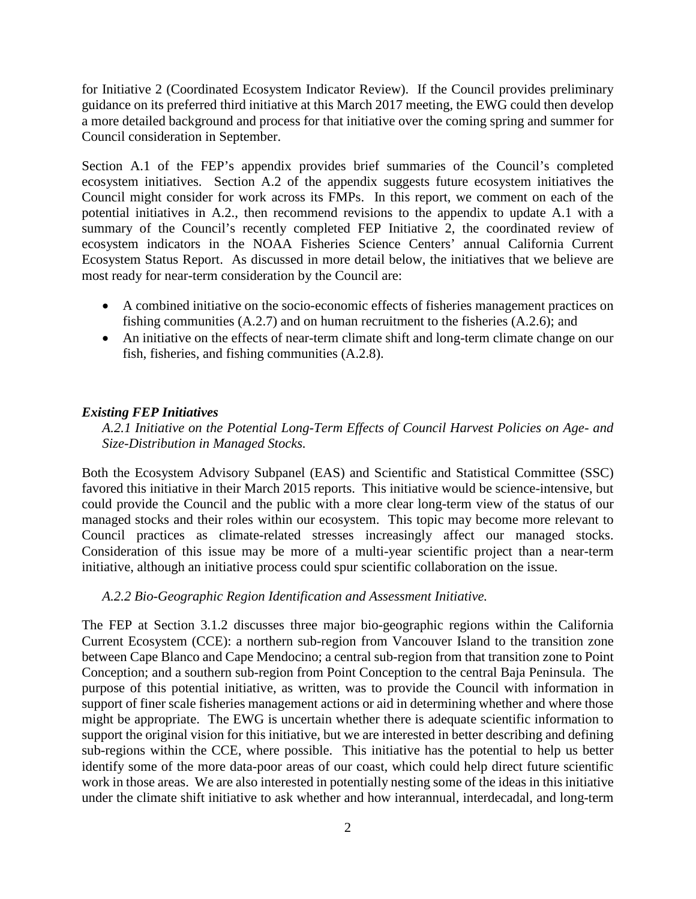for Initiative 2 (Coordinated Ecosystem Indicator Review). If the Council provides preliminary guidance on its preferred third initiative at this March 2017 meeting, the EWG could then develop a more detailed background and process for that initiative over the coming spring and summer for Council consideration in September.

Section A.1 of the FEP's appendix provides brief summaries of the Council's completed ecosystem initiatives. Section A.2 of the appendix suggests future ecosystem initiatives the Council might consider for work across its FMPs. In this report, we comment on each of the potential initiatives in A.2., then recommend revisions to the appendix to update A.1 with a summary of the Council's recently completed FEP Initiative 2, the coordinated review of ecosystem indicators in the NOAA Fisheries Science Centers' annual California Current Ecosystem Status Report. As discussed in more detail below, the initiatives that we believe are most ready for near-term consideration by the Council are:

- A combined initiative on the socio-economic effects of fisheries management practices on fishing communities (A.2.7) and on human recruitment to the fisheries (A.2.6); and
- An initiative on the effects of near-term climate shift and long-term climate change on our fish, fisheries, and fishing communities (A.2.8).

#### <span id="page-1-0"></span>*Existing FEP Initiatives*

*A.2.1 Initiative on the Potential Long-Term Effects of Council Harvest Policies on Age- and Size-Distribution in Managed Stocks.* 

Both the Ecosystem Advisory Subpanel (EAS) and Scientific and Statistical Committee (SSC) favored this initiative in their March 2015 reports. This initiative would be science-intensive, but could provide the Council and the public with a more clear long-term view of the status of our managed stocks and their roles within our ecosystem. This topic may become more relevant to Council practices as climate-related stresses increasingly affect our managed stocks. Consideration of this issue may be more of a multi-year scientific project than a near-term initiative, although an initiative process could spur scientific collaboration on the issue.

#### *A.2.2 Bio-Geographic Region Identification and Assessment Initiative.*

The FEP at Section 3.1.2 discusses three major bio-geographic regions within the California Current Ecosystem (CCE): a northern sub-region from Vancouver Island to the transition zone between Cape Blanco and Cape Mendocino; a central sub-region from that transition zone to Point Conception; and a southern sub-region from Point Conception to the central Baja Peninsula. The purpose of this potential initiative, as written, was to provide the Council with information in support of finer scale fisheries management actions or aid in determining whether and where those might be appropriate. The EWG is uncertain whether there is adequate scientific information to support the original vision for this initiative, but we are interested in better describing and defining sub-regions within the CCE, where possible. This initiative has the potential to help us better identify some of the more data-poor areas of our coast, which could help direct future scientific work in those areas. We are also interested in potentially nesting some of the ideas in this initiative under the climate shift initiative to ask whether and how interannual, interdecadal, and long-term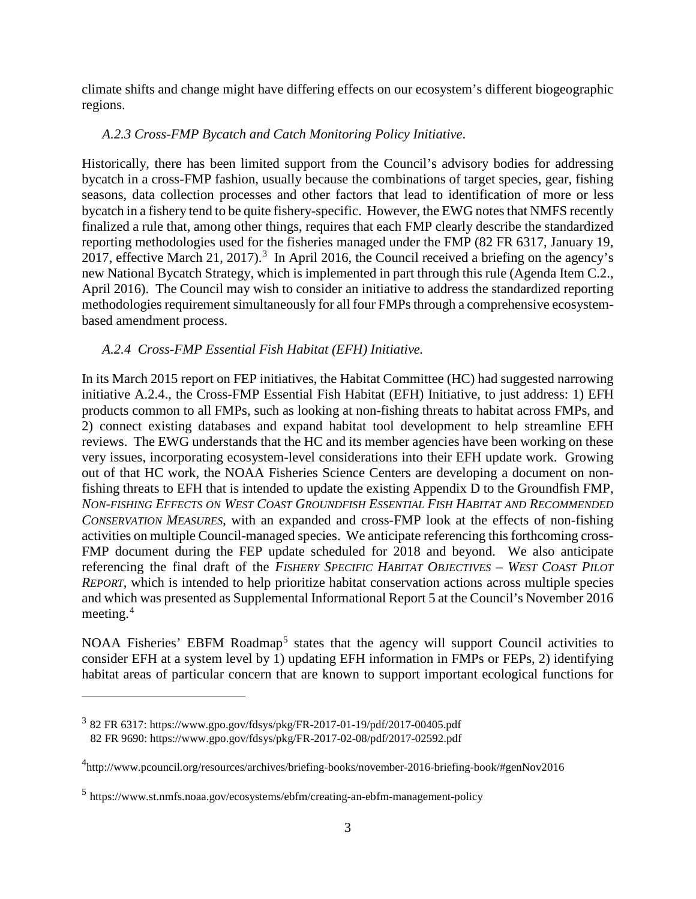climate shifts and change might have differing effects on our ecosystem's different biogeographic regions.

# *A.2.3 Cross-FMP Bycatch and Catch Monitoring Policy Initiative*.

Historically, there has been limited support from the Council's advisory bodies for addressing bycatch in a cross-FMP fashion, usually because the combinations of target species, gear, fishing seasons, data collection processes and other factors that lead to identification of more or less bycatch in a fishery tend to be quite fishery-specific. However, the EWG notes that NMFS recently finalized a rule that, among other things, requires that each FMP clearly describe the standardized reporting methodologies used for the fisheries managed under the FMP (82 FR 6317, January 19, 2017, effective March 21, 2017).<sup>[3](#page-2-0)</sup> In April 2016, the Council received a briefing on the agency's new National Bycatch Strategy, which is implemented in part through this rule (Agenda Item C.2., April 2016). The Council may wish to consider an initiative to address the standardized reporting methodologies requirement simultaneously for all four FMPs through a comprehensive ecosystembased amendment process.

# *A.2.4 Cross-FMP Essential Fish Habitat (EFH) Initiative.*

In its March 2015 report on FEP initiatives, the Habitat Committee (HC) had suggested narrowing initiative A.2.4., the Cross-FMP Essential Fish Habitat (EFH) Initiative, to just address: 1) EFH products common to all FMPs, such as looking at non-fishing threats to habitat across FMPs, and 2) connect existing databases and expand habitat tool development to help streamline EFH reviews. The EWG understands that the HC and its member agencies have been working on these very issues, incorporating ecosystem-level considerations into their EFH update work. Growing out of that HC work, the NOAA Fisheries Science Centers are developing a document on nonfishing threats to EFH that is intended to update the existing Appendix D to the Groundfish FMP, **NON-FISHING EFFECTS ON WEST COAST GROUNDFISH ESSENTIAL FISH HABITAT AND RECOMMENDED** *CONSERVATION MEASURES*, with an expanded and cross-FMP look at the effects of non-fishing activities on multiple Council-managed species. We anticipate referencing this forthcoming cross-FMP document during the FEP update scheduled for 2018 and beyond. We also anticipate referencing the final draft of the *FISHERY SPECIFIC HABITAT OBJECTIVES – WEST COAST PILOT REPORT*, which is intended to help prioritize habitat conservation actions across multiple species and which was presented as Supplemental Informational Report 5 at the Council's November 2016 meeting.[4](#page-2-1)

NOAA Fisheries' EBFM Roadmap<sup>[5](#page-2-2)</sup> states that the agency will support Council activities to consider EFH at a system level by 1) updating EFH information in FMPs or FEPs, 2) identifying habitat areas of particular concern that are known to support important ecological functions for

 $\overline{a}$ 

<span id="page-2-0"></span><sup>3</sup> 82 FR 6317: https://www.gpo.gov/fdsys/pkg/FR-2017-01-19/pdf/2017-00405.pdf 82 FR 9690: https://www.gpo.gov/fdsys/pkg/FR-2017-02-08/pdf/2017-02592.pdf

<span id="page-2-1"></span><sup>4</sup> http://www.pcouncil.org/resources/archives/briefing-books/november-2016-briefing-book/#genNov2016

<span id="page-2-2"></span><sup>5</sup> https://www.st.nmfs.noaa.gov/ecosystems/ebfm/creating-an-ebfm-management-policy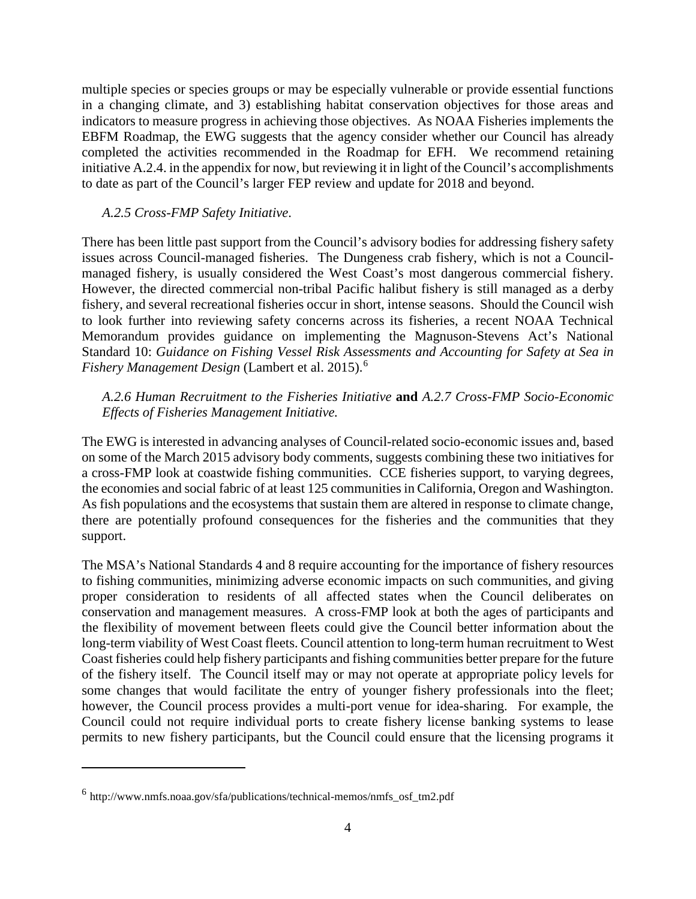multiple species or species groups or may be especially vulnerable or provide essential functions in a changing climate, and 3) establishing habitat conservation objectives for those areas and indicators to measure progress in achieving those objectives. As NOAA Fisheries implements the EBFM Roadmap, the EWG suggests that the agency consider whether our Council has already completed the activities recommended in the Roadmap for EFH. We recommend retaining initiative A.2.4. in the appendix for now, but reviewing it in light of the Council's accomplishments to date as part of the Council's larger FEP review and update for 2018 and beyond.

#### *A.2.5 Cross-FMP Safety Initiative*.

There has been little past support from the Council's advisory bodies for addressing fishery safety issues across Council-managed fisheries. The Dungeness crab fishery, which is not a Councilmanaged fishery, is usually considered the West Coast's most dangerous commercial fishery. However, the directed commercial non-tribal Pacific halibut fishery is still managed as a derby fishery, and several recreational fisheries occur in short, intense seasons. Should the Council wish to look further into reviewing safety concerns across its fisheries, a recent NOAA Technical Memorandum provides guidance on implementing the Magnuson-Stevens Act's National Standard 10: *Guidance on Fishing Vessel Risk Assessments and Accounting for Safety at Sea in Fishery Management Design* (Lambert et al. 2015).[6](#page-3-0)

*A.2.6 Human Recruitment to the Fisheries Initiative* **and** *A.2.7 Cross-FMP Socio-Economic Effects of Fisheries Management Initiative.*

The EWG is interested in advancing analyses of Council-related socio-economic issues and, based on some of the March 2015 advisory body comments, suggests combining these two initiatives for a cross-FMP look at coastwide fishing communities. CCE fisheries support, to varying degrees, the economies and social fabric of at least 125 communities in California, Oregon and Washington. As fish populations and the ecosystems that sustain them are altered in response to climate change, there are potentially profound consequences for the fisheries and the communities that they support.

The MSA's National Standards 4 and 8 require accounting for the importance of fishery resources to fishing communities, minimizing adverse economic impacts on such communities, and giving proper consideration to residents of all affected states when the Council deliberates on conservation and management measures. A cross-FMP look at both the ages of participants and the flexibility of movement between fleets could give the Council better information about the long-term viability of West Coast fleets. Council attention to long-term human recruitment to West Coast fisheries could help fishery participants and fishing communities better prepare for the future of the fishery itself. The Council itself may or may not operate at appropriate policy levels for some changes that would facilitate the entry of younger fishery professionals into the fleet; however, the Council process provides a multi-port venue for idea-sharing. For example, the Council could not require individual ports to create fishery license banking systems to lease permits to new fishery participants, but the Council could ensure that the licensing programs it

 $\overline{a}$ 

<span id="page-3-0"></span> $6$  http://www.nmfs.noaa.gov/sfa/publications/technical-memos/nmfs osf tm2.pdf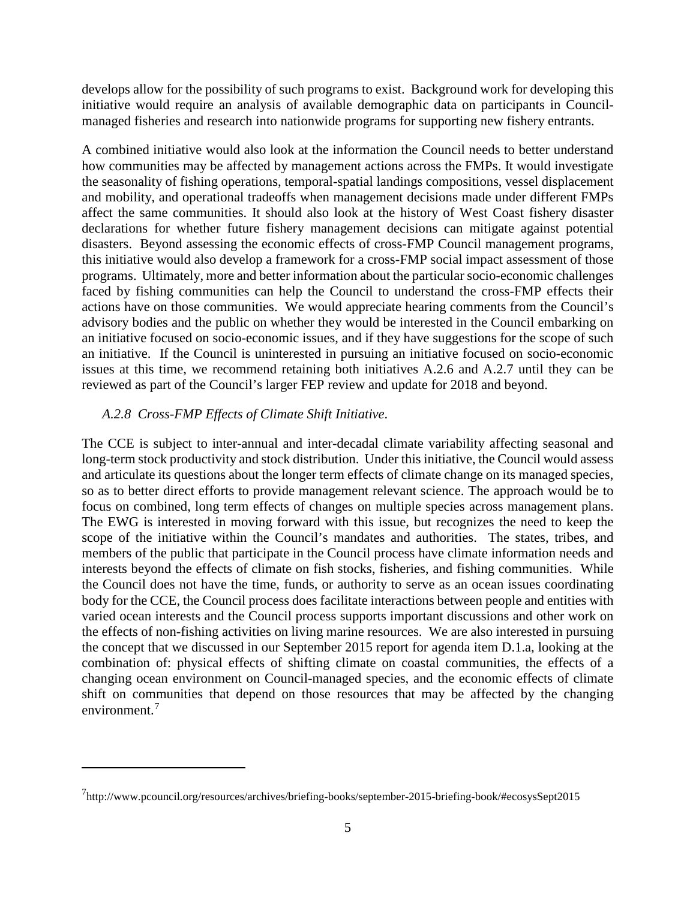develops allow for the possibility of such programs to exist. Background work for developing this initiative would require an analysis of available demographic data on participants in Councilmanaged fisheries and research into nationwide programs for supporting new fishery entrants.

A combined initiative would also look at the information the Council needs to better understand how communities may be affected by management actions across the FMPs. It would investigate the seasonality of fishing operations, temporal-spatial landings compositions, vessel displacement and mobility, and operational tradeoffs when management decisions made under different FMPs affect the same communities. It should also look at the history of West Coast fishery disaster declarations for whether future fishery management decisions can mitigate against potential disasters. Beyond assessing the economic effects of cross-FMP Council management programs, this initiative would also develop a framework for a cross-FMP social impact assessment of those programs. Ultimately, more and better information about the particular socio-economic challenges faced by fishing communities can help the Council to understand the cross-FMP effects their actions have on those communities. We would appreciate hearing comments from the Council's advisory bodies and the public on whether they would be interested in the Council embarking on an initiative focused on socio-economic issues, and if they have suggestions for the scope of such an initiative. If the Council is uninterested in pursuing an initiative focused on socio-economic issues at this time, we recommend retaining both initiatives A.2.6 and A.2.7 until they can be reviewed as part of the Council's larger FEP review and update for 2018 and beyond.

#### *A.2.8 Cross-FMP Effects of Climate Shift Initiative*.

 $\overline{a}$ 

The CCE is subject to inter-annual and inter-decadal climate variability affecting seasonal and long-term stock productivity and stock distribution. Under this initiative, the Council would assess and articulate its questions about the longer term effects of climate change on its managed species, so as to better direct efforts to provide management relevant science. The approach would be to focus on combined, long term effects of changes on multiple species across management plans. The EWG is interested in moving forward with this issue, but recognizes the need to keep the scope of the initiative within the Council's mandates and authorities. The states, tribes, and members of the public that participate in the Council process have climate information needs and interests beyond the effects of climate on fish stocks, fisheries, and fishing communities. While the Council does not have the time, funds, or authority to serve as an ocean issues coordinating body for the CCE, the Council process does facilitate interactions between people and entities with varied ocean interests and the Council process supports important discussions and other work on the effects of non-fishing activities on living marine resources. We are also interested in pursuing the concept that we discussed in our September 2015 report for agenda item D.1.a, looking at the combination of: physical effects of shifting climate on coastal communities, the effects of a changing ocean environment on Council-managed species, and the economic effects of climate shift on communities that depend on those resources that may be affected by the changing environment.[7](#page-4-0)

<span id="page-4-0"></span><sup>7</sup> http://www.pcouncil.org/resources/archives/briefing-books/september-2015-briefing-book/#ecosysSept2015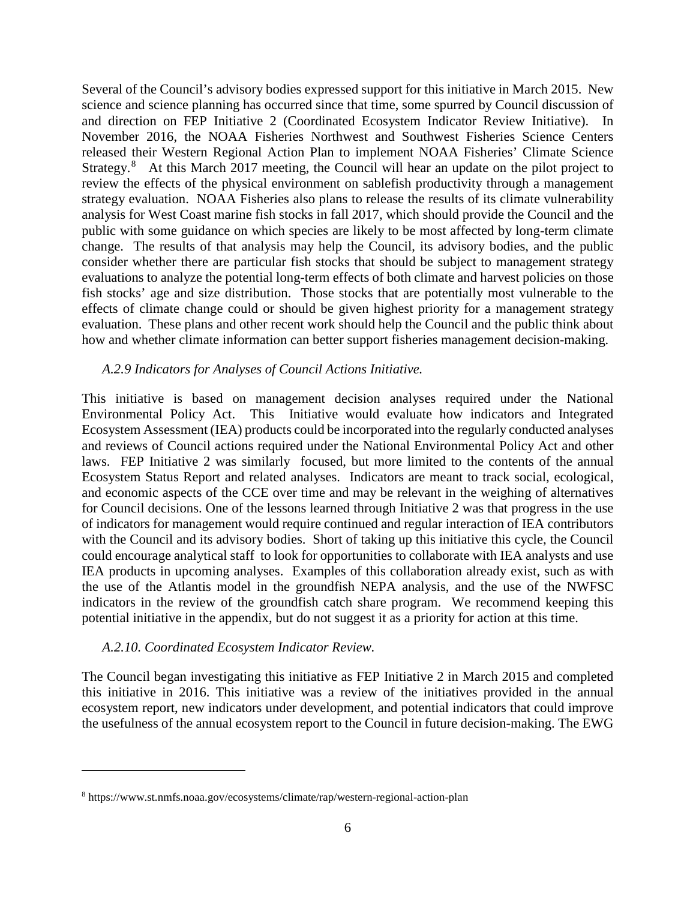Several of the Council's advisory bodies expressed support for this initiative in March 2015. New science and science planning has occurred since that time, some spurred by Council discussion of and direction on FEP Initiative 2 (Coordinated Ecosystem Indicator Review Initiative). In November 2016, the NOAA Fisheries Northwest and Southwest Fisheries Science Centers released their Western Regional Action Plan to implement NOAA Fisheries' Climate Science Strategy.<sup>[8](#page-5-0)</sup> At this March 2017 meeting, the Council will hear an update on the pilot project to review the effects of the physical environment on sablefish productivity through a management strategy evaluation. NOAA Fisheries also plans to release the results of its climate vulnerability analysis for West Coast marine fish stocks in fall 2017, which should provide the Council and the public with some guidance on which species are likely to be most affected by long-term climate change. The results of that analysis may help the Council, its advisory bodies, and the public consider whether there are particular fish stocks that should be subject to management strategy evaluations to analyze the potential long-term effects of both climate and harvest policies on those fish stocks' age and size distribution. Those stocks that are potentially most vulnerable to the effects of climate change could or should be given highest priority for a management strategy evaluation. These plans and other recent work should help the Council and the public think about how and whether climate information can better support fisheries management decision-making.

#### *A.2.9 Indicators for Analyses of Council Actions Initiative.*

This initiative is based on management decision analyses required under the National Environmental Policy Act. This Initiative would evaluate how indicators and Integrated Ecosystem Assessment (IEA) products could be incorporated into the regularly conducted analyses and reviews of Council actions required under the National Environmental Policy Act and other laws. FEP Initiative 2 was similarly focused, but more limited to the contents of the annual Ecosystem Status Report and related analyses. Indicators are meant to track social, ecological, and economic aspects of the CCE over time and may be relevant in the weighing of alternatives for Council decisions. One of the lessons learned through Initiative 2 was that progress in the use of indicators for management would require continued and regular interaction of IEA contributors with the Council and its advisory bodies. Short of taking up this initiative this cycle, the Council could encourage analytical staff to look for opportunities to collaborate with IEA analysts and use IEA products in upcoming analyses. Examples of this collaboration already exist, such as with the use of the Atlantis model in the groundfish NEPA analysis, and the use of the NWFSC indicators in the review of the groundfish catch share program. We recommend keeping this potential initiative in the appendix, but do not suggest it as a priority for action at this time.

#### *A.2.10. Coordinated Ecosystem Indicator Review.*

 $\overline{a}$ 

The Council began investigating this initiative as FEP Initiative 2 in March 2015 and completed this initiative in 2016. This initiative was a review of the initiatives provided in the annual ecosystem report, new indicators under development, and potential indicators that could improve the usefulness of the annual ecosystem report to the Council in future decision-making. The EWG

<span id="page-5-0"></span><sup>8</sup> https://www.st.nmfs.noaa.gov/ecosystems/climate/rap/western-regional-action-plan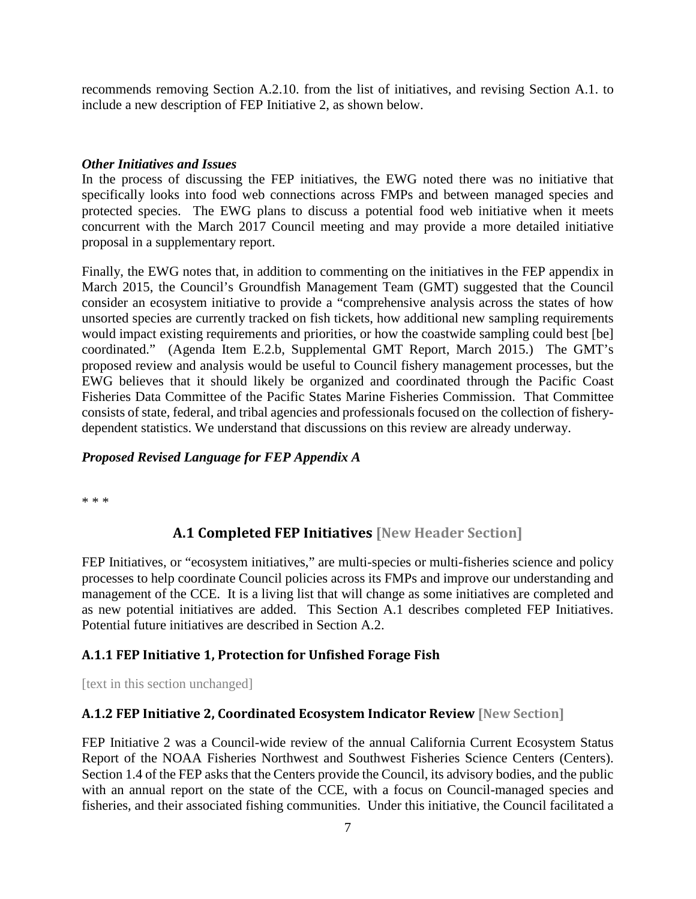recommends removing Section A.2.10. from the list of initiatives, and revising Section A.1. to include a new description of FEP Initiative 2, as shown below.

## <span id="page-6-0"></span>*Other Initiatives and Issues*

In the process of discussing the FEP initiatives, the EWG noted there was no initiative that specifically looks into food web connections across FMPs and between managed species and protected species. The EWG plans to discuss a potential food web initiative when it meets concurrent with the March 2017 Council meeting and may provide a more detailed initiative proposal in a supplementary report.

Finally, the EWG notes that, in addition to commenting on the initiatives in the FEP appendix in March 2015, the Council's Groundfish Management Team (GMT) suggested that the Council consider an ecosystem initiative to provide a "comprehensive analysis across the states of how unsorted species are currently tracked on fish tickets, how additional new sampling requirements would impact existing requirements and priorities, or how the coastwide sampling could best [be] coordinated." (Agenda Item E.2.b, Supplemental GMT Report, March 2015.) The GMT's proposed review and analysis would be useful to Council fishery management processes, but the EWG believes that it should likely be organized and coordinated through the Pacific Coast Fisheries Data Committee of the Pacific States Marine Fisheries Commission. That Committee consists of state, federal, and tribal agencies and professionals focused on the collection of fisherydependent statistics. We understand that discussions on this review are already underway.

#### <span id="page-6-1"></span>*Proposed Revised Language for FEP Appendix A*

\* \* \*

# **A.1 Completed FEP Initiatives [New Header Section]**

FEP Initiatives, or "ecosystem initiatives," are multi-species or multi-fisheries science and policy processes to help coordinate Council policies across its FMPs and improve our understanding and management of the CCE. It is a living list that will change as some initiatives are completed and as new potential initiatives are added. This Section A.1 describes completed FEP Initiatives. Potential future initiatives are described in Section A.2.

# **A.1.1 FEP Initiative 1, Protection for Unfished Forage Fish**

[text in this section unchanged]

# **A.1.2 FEP Initiative 2, Coordinated Ecosystem Indicator Review [New Section]**

FEP Initiative 2 was a Council-wide review of the annual California Current Ecosystem Status Report of the NOAA Fisheries Northwest and Southwest Fisheries Science Centers (Centers). Section 1.4 of the FEP asks that the Centers provide the Council, its advisory bodies, and the public with an annual report on the state of the CCE, with a focus on Council-managed species and fisheries, and their associated fishing communities. Under this initiative, the Council facilitated a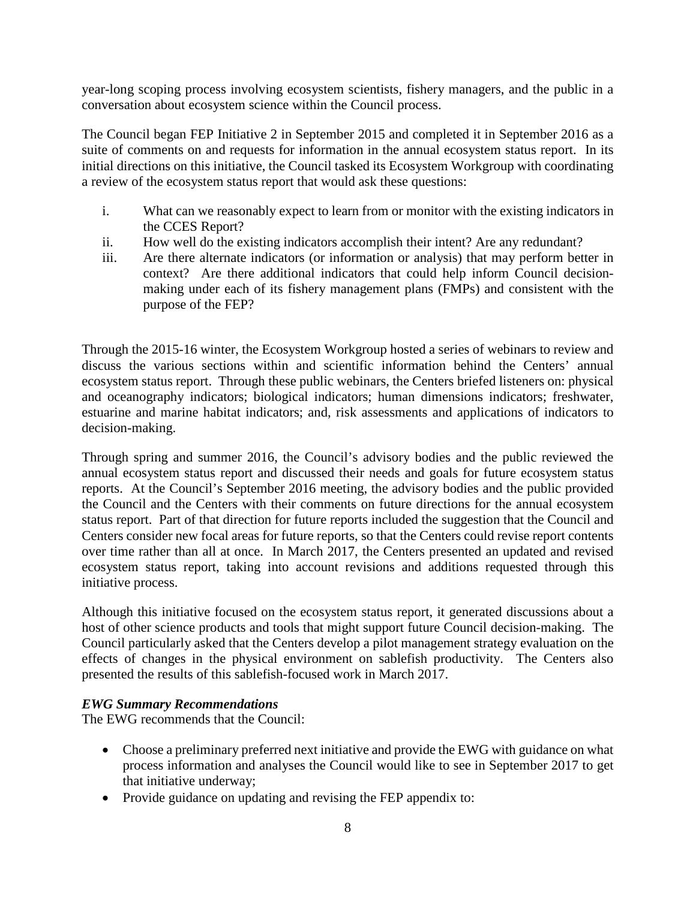year-long scoping process involving ecosystem scientists, fishery managers, and the public in a conversation about ecosystem science within the Council process.

The Council began FEP Initiative 2 in September 2015 and completed it in September 2016 as a suite of comments on and requests for information in the annual ecosystem status report. In its initial directions on this initiative, the Council tasked its Ecosystem Workgroup with coordinating a review of the ecosystem status report that would ask these questions:

- i. What can we reasonably expect to learn from or monitor with the existing indicators in the CCES Report?
- ii. How well do the existing indicators accomplish their intent? Are any redundant?
- iii. Are there alternate indicators (or information or analysis) that may perform better in context? Are there additional indicators that could help inform Council decisionmaking under each of its fishery management plans (FMPs) and consistent with the purpose of the FEP?

Through the 2015-16 winter, the Ecosystem Workgroup hosted a series of webinars to review and discuss the various sections within and scientific information behind the Centers' annual ecosystem status report. Through these public webinars, the Centers briefed listeners on: physical and oceanography indicators; biological indicators; human dimensions indicators; freshwater, estuarine and marine habitat indicators; and, risk assessments and applications of indicators to decision-making.

Through spring and summer 2016, the Council's advisory bodies and the public reviewed the annual ecosystem status report and discussed their needs and goals for future ecosystem status reports. At the Council's September 2016 meeting, the advisory bodies and the public provided the Council and the Centers with their comments on future directions for the annual ecosystem status report. Part of that direction for future reports included the suggestion that the Council and Centers consider new focal areas for future reports, so that the Centers could revise report contents over time rather than all at once. In March 2017, the Centers presented an updated and revised ecosystem status report, taking into account revisions and additions requested through this initiative process.

Although this initiative focused on the ecosystem status report, it generated discussions about a host of other science products and tools that might support future Council decision-making. The Council particularly asked that the Centers develop a pilot management strategy evaluation on the effects of changes in the physical environment on sablefish productivity. The Centers also presented the results of this sablefish-focused work in March 2017.

#### <span id="page-7-0"></span>*EWG Summary Recommendations*

The EWG recommends that the Council:

- Choose a preliminary preferred next initiative and provide the EWG with guidance on what process information and analyses the Council would like to see in September 2017 to get that initiative underway;
- Provide guidance on updating and revising the FEP appendix to: